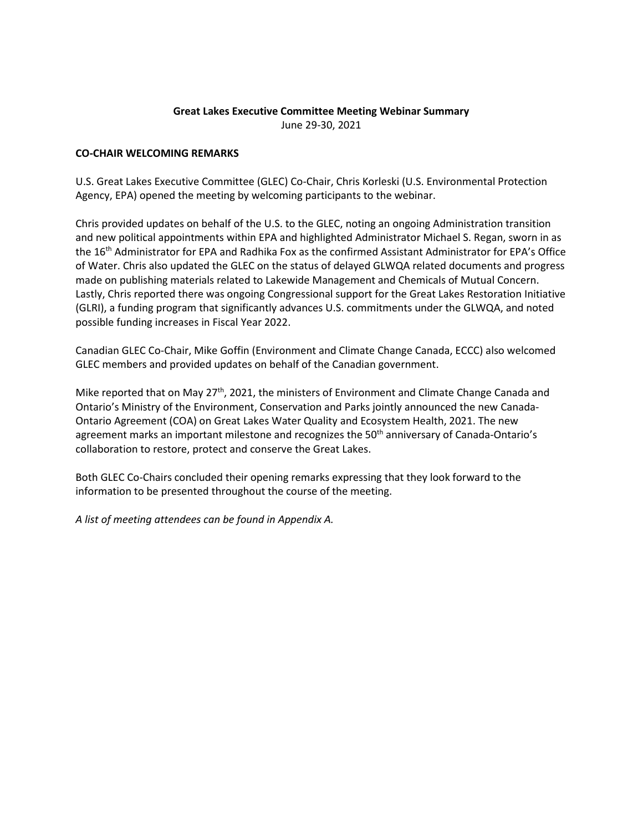#### **Great Lakes Executive Committee Meeting Webinar Summary**  June 29-30, 2021

### **CO-CHAIR WELCOMING REMARKS**

U.S. Great Lakes Executive Committee (GLEC) Co-Chair, Chris Korleski (U.S. Environmental Protection Agency, EPA) opened the meeting by welcoming participants to the webinar.

Chris provided updates on behalf of the U.S. to the GLEC, noting an ongoing Administration transition and new political appointments within EPA and highlighted Administrator Michael S. Regan, sworn in as the 16th Administrator for EPA and Radhika Fox as the confirmed Assistant Administrator for EPA's Office of Water. Chris also updated the GLEC on the status of delayed GLWQA related documents and progress made on publishing materials related to Lakewide Management and Chemicals of Mutual Concern. Lastly, Chris reported there was ongoing Congressional support for the Great Lakes Restoration Initiative (GLRI), a funding program that significantly advances U.S. commitments under the GLWQA, and noted possible funding increases in Fiscal Year 2022.

Canadian GLEC Co-Chair, Mike Goffin (Environment and Climate Change Canada, ECCC) also welcomed GLEC members and provided updates on behalf of the Canadian government.

Mike reported that on May 27<sup>th</sup>, 2021, the ministers of Environment and Climate Change Canada and Ontario's Ministry of the Environment, Conservation and Parks jointly announced the new Canada-Ontario Agreement (COA) on Great Lakes Water Quality and Ecosystem Health, 2021. The new agreement marks an important milestone and recognizes the 50<sup>th</sup> anniversary of Canada-Ontario's collaboration to restore, protect and conserve the Great Lakes.

Both GLEC Co-Chairs concluded their opening remarks expressing that they look forward to the information to be presented throughout the course of the meeting.

*A list of meeting attendees can be found in Appendix A.*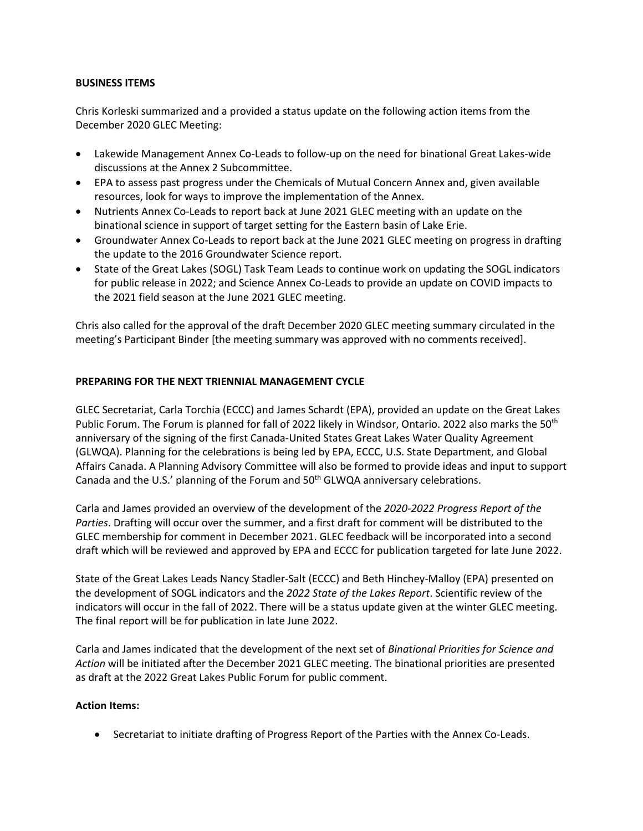#### **BUSINESS ITEMS**

Chris Korleski summarized and a provided a status update on the following action items from the December 2020 GLEC Meeting:

- Lakewide Management Annex Co-Leads to follow-up on the need for binational Great Lakes-wide discussions at the Annex 2 Subcommittee.
- EPA to assess past progress under the Chemicals of Mutual Concern Annex and, given available resources, look for ways to improve the implementation of the Annex.
- Nutrients Annex Co-Leads to report back at June 2021 GLEC meeting with an update on the binational science in support of target setting for the Eastern basin of Lake Erie.
- Groundwater Annex Co-Leads to report back at the June 2021 GLEC meeting on progress in drafting the update to the 2016 Groundwater Science report.
- State of the Great Lakes (SOGL) Task Team Leads to continue work on updating the SOGL indicators for public release in 2022; and Science Annex Co-Leads to provide an update on COVID impacts to the 2021 field season at the June 2021 GLEC meeting.

Chris also called for the approval of the draft December 2020 GLEC meeting summary circulated in the meeting's Participant Binder [the meeting summary was approved with no comments received].

### **PREPARING FOR THE NEXT TRIENNIAL MANAGEMENT CYCLE**

GLEC Secretariat, Carla Torchia (ECCC) and James Schardt (EPA), provided an update on the Great Lakes Public Forum. The Forum is planned for fall of 2022 likely in Windsor, Ontario. 2022 also marks the 50<sup>th</sup> anniversary of the signing of the first Canada-United States Great Lakes Water Quality Agreement (GLWQA). Planning for the celebrations is being led by EPA, ECCC, U.S. State Department, and Global Affairs Canada. A Planning Advisory Committee will also be formed to provide ideas and input to support Canada and the U.S.' planning of the Forum and  $50<sup>th</sup>$  GLWQA anniversary celebrations.

Carla and James provided an overview of the development of the *2020-2022 Progress Report of the Parties*. Drafting will occur over the summer, and a first draft for comment will be distributed to the GLEC membership for comment in December 2021. GLEC feedback will be incorporated into a second draft which will be reviewed and approved by EPA and ECCC for publication targeted for late June 2022.

State of the Great Lakes Leads Nancy Stadler-Salt (ECCC) and Beth Hinchey-Malloy (EPA) presented on the development of SOGL indicators and the *2022 State of the Lakes Report*. Scientific review of the indicators will occur in the fall of 2022. There will be a status update given at the winter GLEC meeting. The final report will be for publication in late June 2022.

Carla and James indicated that the development of the next set of *Binational Priorities for Science and Action* will be initiated after the December 2021 GLEC meeting. The binational priorities are presented as draft at the 2022 Great Lakes Public Forum for public comment.

### **Action Items:**

Secretariat to initiate drafting of Progress Report of the Parties with the Annex Co-Leads.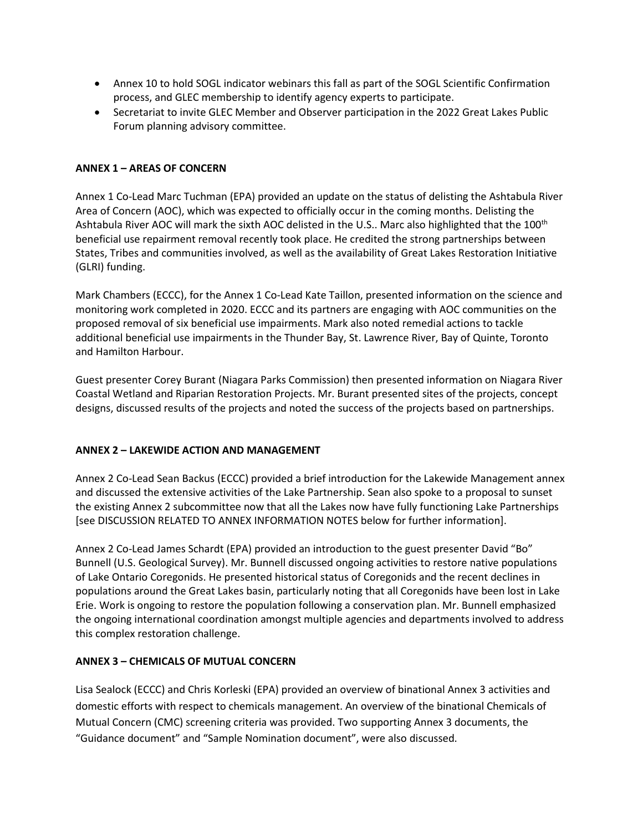- Annex 10 to hold SOGL indicator webinars this fall as part of the SOGL Scientific Confirmation process, and GLEC membership to identify agency experts to participate.
- Secretariat to invite GLEC Member and Observer participation in the 2022 Great Lakes Public Forum planning advisory committee.

## **ANNEX 1 – AREAS OF CONCERN**

Annex 1 Co-Lead Marc Tuchman (EPA) provided an update on the status of delisting the Ashtabula River Area of Concern (AOC), which was expected to officially occur in the coming months. Delisting the Ashtabula River AOC will mark the sixth AOC delisted in the U.S.. Marc also highlighted that the 100<sup>th</sup> beneficial use repairment removal recently took place. He credited the strong partnerships between States, Tribes and communities involved, as well as the availability of Great Lakes Restoration Initiative (GLRI) funding.

Mark Chambers (ECCC), for the Annex 1 Co-Lead Kate Taillon, presented information on the science and monitoring work completed in 2020. ECCC and its partners are engaging with AOC communities on the proposed removal of six beneficial use impairments. Mark also noted remedial actions to tackle additional beneficial use impairments in the Thunder Bay, St. Lawrence River, Bay of Quinte, Toronto and Hamilton Harbour.

Guest presenter Corey Burant (Niagara Parks Commission) then presented information on Niagara River Coastal Wetland and Riparian Restoration Projects. Mr. Burant presented sites of the projects, concept designs, discussed results of the projects and noted the success of the projects based on partnerships.

### **ANNEX 2 – LAKEWIDE ACTION AND MANAGEMENT**

Annex 2 Co-Lead Sean Backus (ECCC) provided a brief introduction for the Lakewide Management annex and discussed the extensive activities of the Lake Partnership. Sean also spoke to a proposal to sunset the existing Annex 2 subcommittee now that all the Lakes now have fully functioning Lake Partnerships [see DISCUSSION RELATED TO ANNEX INFORMATION NOTES below for further information].

Annex 2 Co-Lead James Schardt (EPA) provided an introduction to the guest presenter David "Bo" Bunnell (U.S. Geological Survey). Mr. Bunnell discussed ongoing activities to restore native populations of Lake Ontario Coregonids. He presented historical status of Coregonids and the recent declines in populations around the Great Lakes basin, particularly noting that all Coregonids have been lost in Lake Erie. Work is ongoing to restore the population following a conservation plan. Mr. Bunnell emphasized the ongoing international coordination amongst multiple agencies and departments involved to address this complex restoration challenge.

### **ANNEX 3 – CHEMICALS OF MUTUAL CONCERN**

Lisa Sealock (ECCC) and Chris Korleski (EPA) provided an overview of binational Annex 3 activities and domestic efforts with respect to chemicals management. An overview of the binational Chemicals of Mutual Concern (CMC) screening criteria was provided. Two supporting Annex 3 documents, the "Guidance document" and "Sample Nomination document", were also discussed.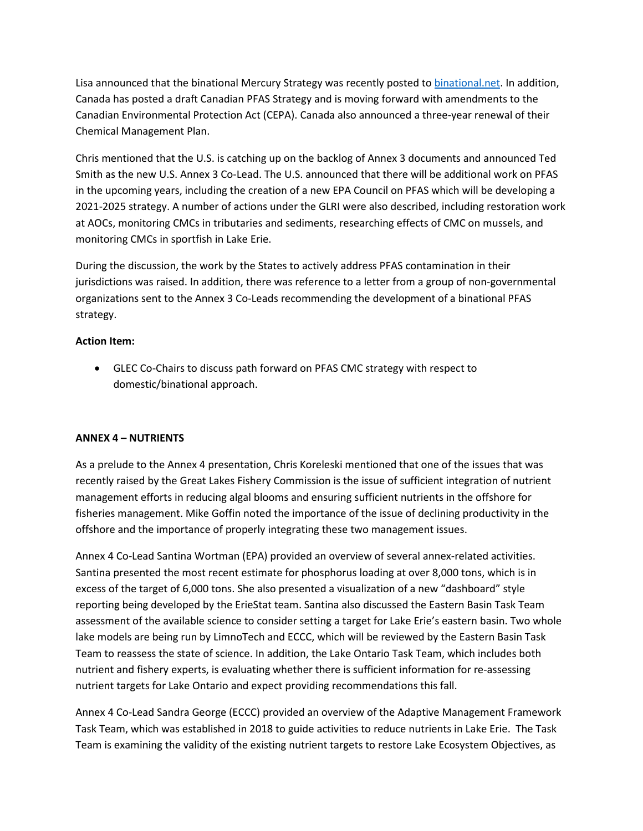Lisa announced that the binational Mercury Strategy was recently posted t[o binational.net.](https://binational.net/2021/06/28/cmc-mercury-pcspm-mercure/) In addition, Canada has posted a draft Canadian PFAS Strategy and is moving forward with amendments to the Canadian Environmental Protection Act (CEPA). Canada also announced a three-year renewal of their Chemical Management Plan.

Chris mentioned that the U.S. is catching up on the backlog of Annex 3 documents and announced Ted Smith as the new U.S. Annex 3 Co-Lead. The U.S. announced that there will be additional work on PFAS in the upcoming years, including the creation of a new EPA Council on PFAS which will be developing a 2021-2025 strategy. A number of actions under the GLRI were also described, including restoration work at AOCs, monitoring CMCs in tributaries and sediments, researching effects of CMC on mussels, and monitoring CMCs in sportfish in Lake Erie.

During the discussion, the work by the States to actively address PFAS contamination in their jurisdictions was raised. In addition, there was reference to a letter from a group of non-governmental organizations sent to the Annex 3 Co-Leads recommending the development of a binational PFAS strategy.

## **Action Item:**

 GLEC Co-Chairs to discuss path forward on PFAS CMC strategy with respect to domestic/binational approach.

# **ANNEX 4 – NUTRIENTS**

As a prelude to the Annex 4 presentation, Chris Koreleski mentioned that one of the issues that was recently raised by the Great Lakes Fishery Commission is the issue of sufficient integration of nutrient management efforts in reducing algal blooms and ensuring sufficient nutrients in the offshore for fisheries management. Mike Goffin noted the importance of the issue of declining productivity in the offshore and the importance of properly integrating these two management issues.

Annex 4 Co-Lead Santina Wortman (EPA) provided an overview of several annex-related activities. Santina presented the most recent estimate for phosphorus loading at over 8,000 tons, which is in excess of the target of 6,000 tons. She also presented a visualization of a new "dashboard" style reporting being developed by the ErieStat team. Santina also discussed the Eastern Basin Task Team assessment of the available science to consider setting a target for Lake Erie's eastern basin. Two whole lake models are being run by LimnoTech and ECCC, which will be reviewed by the Eastern Basin Task Team to reassess the state of science. In addition, the Lake Ontario Task Team, which includes both nutrient and fishery experts, is evaluating whether there is sufficient information for re-assessing nutrient targets for Lake Ontario and expect providing recommendations this fall.

Annex 4 Co-Lead Sandra George (ECCC) provided an overview of the Adaptive Management Framework Task Team, which was established in 2018 to guide activities to reduce nutrients in Lake Erie. The Task Team is examining the validity of the existing nutrient targets to restore Lake Ecosystem Objectives, as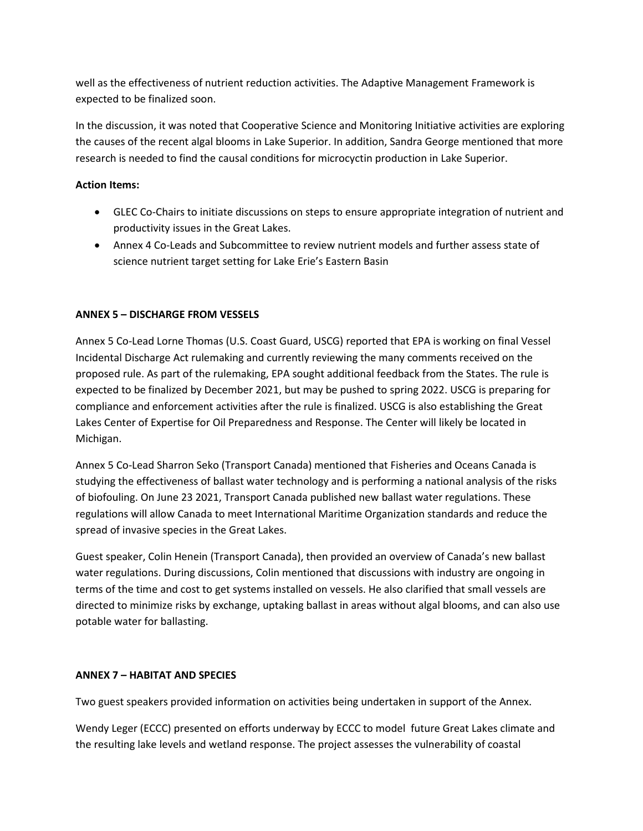well as the effectiveness of nutrient reduction activities. The Adaptive Management Framework is expected to be finalized soon.

In the discussion, it was noted that Cooperative Science and Monitoring Initiative activities are exploring the causes of the recent algal blooms in Lake Superior. In addition, Sandra George mentioned that more research is needed to find the causal conditions for microcyctin production in Lake Superior.

# **Action Items:**

- GLEC Co-Chairs to initiate discussions on steps to ensure appropriate integration of nutrient and productivity issues in the Great Lakes.
- Annex 4 Co-Leads and Subcommittee to review nutrient models and further assess state of science nutrient target setting for Lake Erie's Eastern Basin

# **ANNEX 5 – DISCHARGE FROM VESSELS**

Annex 5 Co-Lead Lorne Thomas (U.S. Coast Guard, USCG) reported that EPA is working on final Vessel Incidental Discharge Act rulemaking and currently reviewing the many comments received on the proposed rule. As part of the rulemaking, EPA sought additional feedback from the States. The rule is expected to be finalized by December 2021, but may be pushed to spring 2022. USCG is preparing for compliance and enforcement activities after the rule is finalized. USCG is also establishing the Great Lakes Center of Expertise for Oil Preparedness and Response. The Center will likely be located in Michigan.

Annex 5 Co-Lead Sharron Seko (Transport Canada) mentioned that Fisheries and Oceans Canada is studying the effectiveness of ballast water technology and is performing a national analysis of the risks of biofouling. On June 23 2021, Transport Canada published new ballast water regulations. These regulations will allow Canada to meet International Maritime Organization standards and reduce the spread of invasive species in the Great Lakes.

Guest speaker, Colin Henein (Transport Canada), then provided an overview of Canada's new ballast water regulations. During discussions, Colin mentioned that discussions with industry are ongoing in terms of the time and cost to get systems installed on vessels. He also clarified that small vessels are directed to minimize risks by exchange, uptaking ballast in areas without algal blooms, and can also use potable water for ballasting.

### **ANNEX 7 – HABITAT AND SPECIES**

Two guest speakers provided information on activities being undertaken in support of the Annex.

Wendy Leger (ECCC) presented on efforts underway by ECCC to model future Great Lakes climate and the resulting lake levels and wetland response. The project assesses the vulnerability of coastal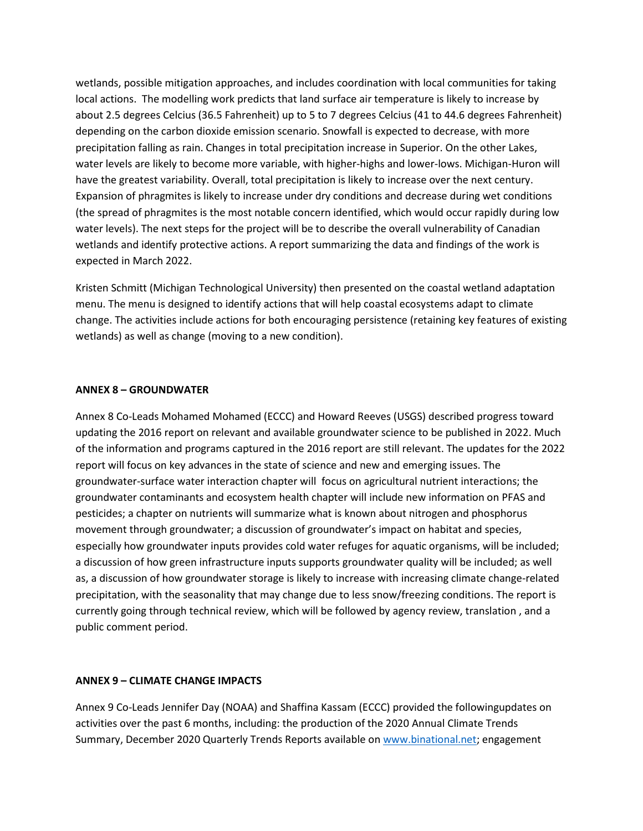wetlands, possible mitigation approaches, and includes coordination with local communities for taking local actions. The modelling work predicts that land surface air temperature is likely to increase by about 2.5 degrees Celcius (36.5 Fahrenheit) up to 5 to 7 degrees Celcius (41 to 44.6 degrees Fahrenheit) depending on the carbon dioxide emission scenario. Snowfall is expected to decrease, with more precipitation falling as rain. Changes in total precipitation increase in Superior. On the other Lakes, water levels are likely to become more variable, with higher-highs and lower-lows. Michigan-Huron will have the greatest variability. Overall, total precipitation is likely to increase over the next century. Expansion of phragmites is likely to increase under dry conditions and decrease during wet conditions (the spread of phragmites is the most notable concern identified, which would occur rapidly during low water levels). The next steps for the project will be to describe the overall vulnerability of Canadian wetlands and identify protective actions. A report summarizing the data and findings of the work is expected in March 2022.

Kristen Schmitt (Michigan Technological University) then presented on the coastal wetland adaptation menu. The menu is designed to identify actions that will help coastal ecosystems adapt to climate change. The activities include actions for both encouraging persistence (retaining key features of existing wetlands) as well as change (moving to a new condition).

#### **ANNEX 8 – GROUNDWATER**

Annex 8 Co-Leads Mohamed Mohamed (ECCC) and Howard Reeves (USGS) described progress toward updating the 2016 report on relevant and available groundwater science to be published in 2022. Much of the information and programs captured in the 2016 report are still relevant. The updates for the 2022 report will focus on key advances in the state of science and new and emerging issues. The groundwater-surface water interaction chapter will focus on agricultural nutrient interactions; the groundwater contaminants and ecosystem health chapter will include new information on PFAS and pesticides; a chapter on nutrients will summarize what is known about nitrogen and phosphorus movement through groundwater; a discussion of groundwater's impact on habitat and species, especially how groundwater inputs provides cold water refuges for aquatic organisms, will be included; a discussion of how green infrastructure inputs supports groundwater quality will be included; as well as, a discussion of how groundwater storage is likely to increase with increasing climate change-related precipitation, with the seasonality that may change due to less snow/freezing conditions. The report is currently going through technical review, which will be followed by agency review, translation , and a public comment period.

#### **ANNEX 9 – CLIMATE CHANGE IMPACTS**

Annex 9 Co-Leads Jennifer Day (NOAA) and Shaffina Kassam (ECCC) provided the followingupdates on activities over the past 6 months, including: the production of the 2020 Annual Climate Trends Summary, December 2020 Quarterly Trends Reports available on [www.binational.net;](http://www.binational.net/) engagement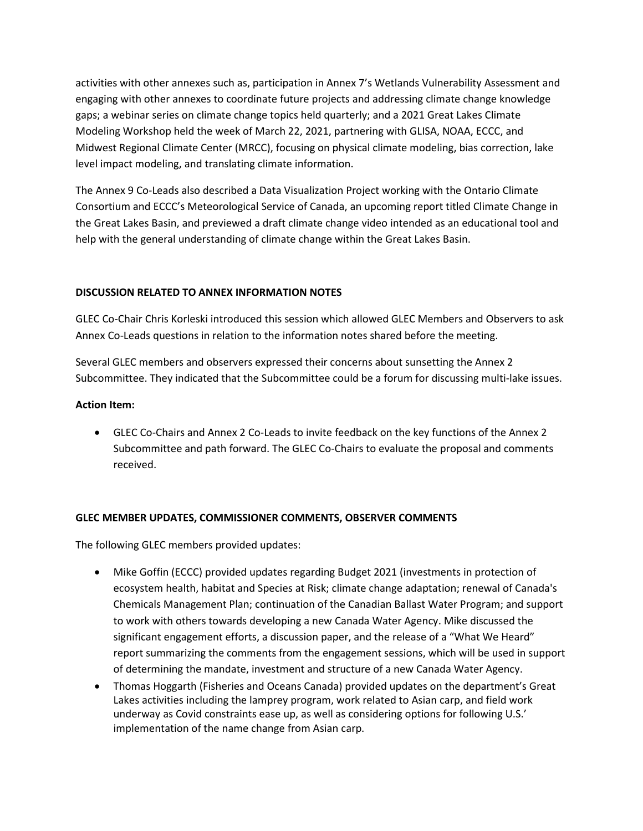activities with other annexes such as, participation in Annex 7's Wetlands Vulnerability Assessment and engaging with other annexes to coordinate future projects and addressing climate change knowledge gaps; a webinar series on climate change topics held quarterly; and a 2021 Great Lakes Climate Modeling Workshop held the week of March 22, 2021, partnering with GLISA, NOAA, ECCC, and Midwest Regional Climate Center (MRCC), focusing on physical climate modeling, bias correction, lake level impact modeling, and translating climate information.

The Annex 9 Co-Leads also described a Data Visualization Project working with the Ontario Climate Consortium and ECCC's Meteorological Service of Canada, an upcoming report titled Climate Change in the Great Lakes Basin, and previewed a draft climate change video intended as an educational tool and help with the general understanding of climate change within the Great Lakes Basin.

### **DISCUSSION RELATED TO ANNEX INFORMATION NOTES**

GLEC Co-Chair Chris Korleski introduced this session which allowed GLEC Members and Observers to ask Annex Co-Leads questions in relation to the information notes shared before the meeting.

Several GLEC members and observers expressed their concerns about sunsetting the Annex 2 Subcommittee. They indicated that the Subcommittee could be a forum for discussing multi-lake issues.

#### **Action Item:**

 GLEC Co-Chairs and Annex 2 Co-Leads to invite feedback on the key functions of the Annex 2 Subcommittee and path forward. The GLEC Co-Chairs to evaluate the proposal and comments received.

### **GLEC MEMBER UPDATES, COMMISSIONER COMMENTS, OBSERVER COMMENTS**

The following GLEC members provided updates:

- Mike Goffin (ECCC) provided updates regarding Budget 2021 (investments in protection of ecosystem health, habitat and Species at Risk; climate change adaptation; renewal of Canada's Chemicals Management Plan; continuation of the Canadian Ballast Water Program; and support to work with others towards developing a new Canada Water Agency. Mike discussed the significant engagement efforts, a discussion paper, and the release of a "What We Heard" report summarizing the comments from the engagement sessions, which will be used in support of determining the mandate, investment and structure of a new Canada Water Agency.
- Thomas Hoggarth (Fisheries and Oceans Canada) provided updates on the department's Great Lakes activities including the lamprey program, work related to Asian carp, and field work underway as Covid constraints ease up, as well as considering options for following U.S.' implementation of the name change from Asian carp.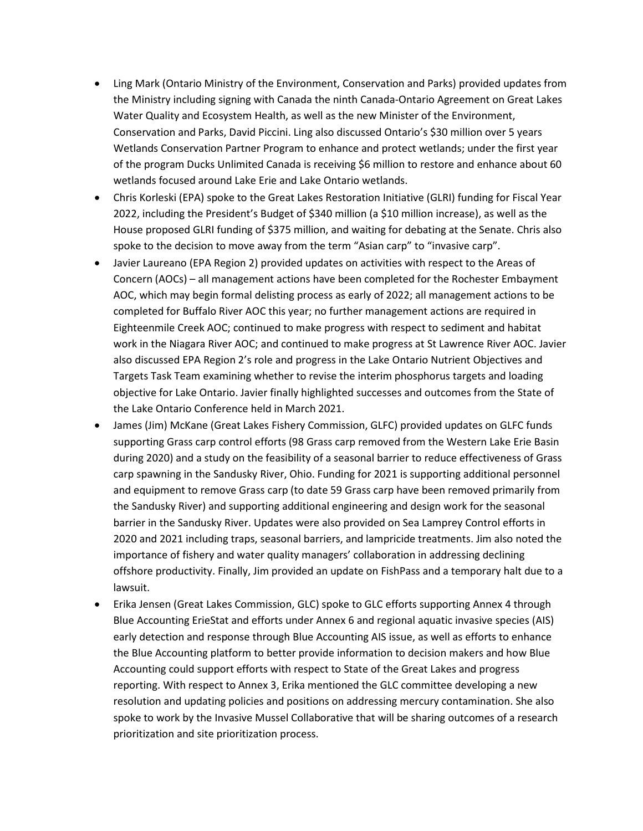- Ling Mark (Ontario Ministry of the Environment, Conservation and Parks) provided updates from the Ministry including signing with Canada the ninth Canada-Ontario Agreement on Great Lakes Water Quality and Ecosystem Health, as well as the new Minister of the Environment, Conservation and Parks, David Piccini. Ling also discussed Ontario's \$30 million over 5 years Wetlands Conservation Partner Program to enhance and protect wetlands; under the first year of the program Ducks Unlimited Canada is receiving \$6 million to restore and enhance about 60 wetlands focused around Lake Erie and Lake Ontario wetlands.
- Chris Korleski (EPA) spoke to the Great Lakes Restoration Initiative (GLRI) funding for Fiscal Year 2022, including the President's Budget of \$340 million (a \$10 million increase), as well as the House proposed GLRI funding of \$375 million, and waiting for debating at the Senate. Chris also spoke to the decision to move away from the term "Asian carp" to "invasive carp".
- Javier Laureano (EPA Region 2) provided updates on activities with respect to the Areas of Concern (AOCs) – all management actions have been completed for the Rochester Embayment AOC, which may begin formal delisting process as early of 2022; all management actions to be completed for Buffalo River AOC this year; no further management actions are required in Eighteenmile Creek AOC; continued to make progress with respect to sediment and habitat work in the Niagara River AOC; and continued to make progress at St Lawrence River AOC. Javier also discussed EPA Region 2's role and progress in the Lake Ontario Nutrient Objectives and Targets Task Team examining whether to revise the interim phosphorus targets and loading objective for Lake Ontario. Javier finally highlighted successes and outcomes from the State of the Lake Ontario Conference held in March 2021.
- James (Jim) McKane (Great Lakes Fishery Commission, GLFC) provided updates on GLFC funds supporting Grass carp control efforts (98 Grass carp removed from the Western Lake Erie Basin during 2020) and a study on the feasibility of a seasonal barrier to reduce effectiveness of Grass carp spawning in the Sandusky River, Ohio. Funding for 2021 is supporting additional personnel and equipment to remove Grass carp (to date 59 Grass carp have been removed primarily from the Sandusky River) and supporting additional engineering and design work for the seasonal barrier in the Sandusky River. Updates were also provided on Sea Lamprey Control efforts in 2020 and 2021 including traps, seasonal barriers, and lampricide treatments. Jim also noted the importance of fishery and water quality managers' collaboration in addressing declining offshore productivity. Finally, Jim provided an update on FishPass and a temporary halt due to a lawsuit.
- Erika Jensen (Great Lakes Commission, GLC) spoke to GLC efforts supporting Annex 4 through Blue Accounting ErieStat and efforts under Annex 6 and regional aquatic invasive species (AIS) early detection and response through Blue Accounting AIS issue, as well as efforts to enhance the Blue Accounting platform to better provide information to decision makers and how Blue Accounting could support efforts with respect to State of the Great Lakes and progress reporting. With respect to Annex 3, Erika mentioned the GLC committee developing a new resolution and updating policies and positions on addressing mercury contamination. She also spoke to work by the Invasive Mussel Collaborative that will be sharing outcomes of a research prioritization and site prioritization process.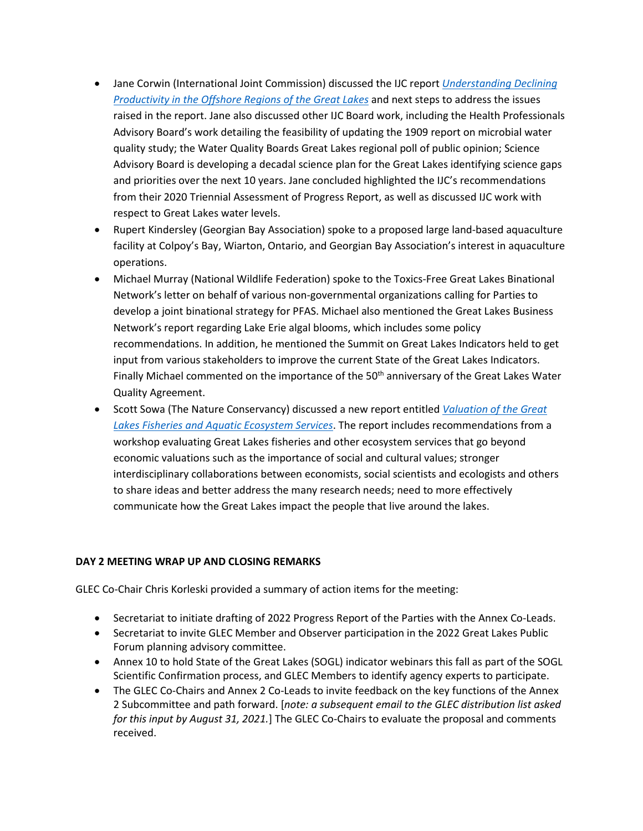- Jane Corwin (International Joint Commission) discussed the IJC report *[Understanding Declining](https://ijc.org/en/sab/understanding-declining-productivity-offshore-regions-great-lakes)  [Productivity in the Offshore Regions of the Great Lakes](https://ijc.org/en/sab/understanding-declining-productivity-offshore-regions-great-lakes)* and next steps to address the issues raised in the report. Jane also discussed other IJC Board work, including the Health Professionals Advisory Board's work detailing the feasibility of updating the 1909 report on microbial water quality study; the Water Quality Boards Great Lakes regional poll of public opinion; Science Advisory Board is developing a decadal science plan for the Great Lakes identifying science gaps and priorities over the next 10 years. Jane concluded highlighted the IJC's recommendations from their 2020 Triennial Assessment of Progress Report, as well as discussed IJC work with respect to Great Lakes water levels.
- Rupert Kindersley (Georgian Bay Association) spoke to a proposed large land-based aquaculture facility at Colpoy's Bay, Wiarton, Ontario, and Georgian Bay Association's interest in aquaculture operations.
- Michael Murray (National Wildlife Federation) spoke to the Toxics-Free Great Lakes Binational Network's letter on behalf of various non-governmental organizations calling for Parties to develop a joint binational strategy for PFAS. Michael also mentioned the Great Lakes Business Network's report regarding Lake Erie algal blooms, which includes some policy recommendations. In addition, he mentioned the Summit on Great Lakes Indicators held to get input from various stakeholders to improve the current State of the Great Lakes Indicators. Finally Michael commented on the importance of the 50<sup>th</sup> anniversary of the Great Lakes Water Quality Agreement.
- Scott Sowa (The Nature Conservancy) discussed a new report entitled *[Valuation of the Great](https://www.greatlakesvaluation.stratos-sts.com/)  [Lakes Fisheries and Aquatic Ecosystem Services](https://www.greatlakesvaluation.stratos-sts.com/)*. The report includes recommendations from a workshop evaluating Great Lakes fisheries and other ecosystem services that go beyond economic valuations such as the importance of social and cultural values; stronger interdisciplinary collaborations between economists, social scientists and ecologists and others to share ideas and better address the many research needs; need to more effectively communicate how the Great Lakes impact the people that live around the lakes.

# **DAY 2 MEETING WRAP UP AND CLOSING REMARKS**

GLEC Co-Chair Chris Korleski provided a summary of action items for the meeting:

- Secretariat to initiate drafting of 2022 Progress Report of the Parties with the Annex Co-Leads.
- Secretariat to invite GLEC Member and Observer participation in the 2022 Great Lakes Public Forum planning advisory committee.
- Annex 10 to hold State of the Great Lakes (SOGL) indicator webinars this fall as part of the SOGL Scientific Confirmation process, and GLEC Members to identify agency experts to participate.
- The GLEC Co-Chairs and Annex 2 Co-Leads to invite feedback on the key functions of the Annex 2 Subcommittee and path forward. [*note: a subsequent email to the GLEC distribution list asked for this input by August 31, 2021.*] The GLEC Co-Chairs to evaluate the proposal and comments received.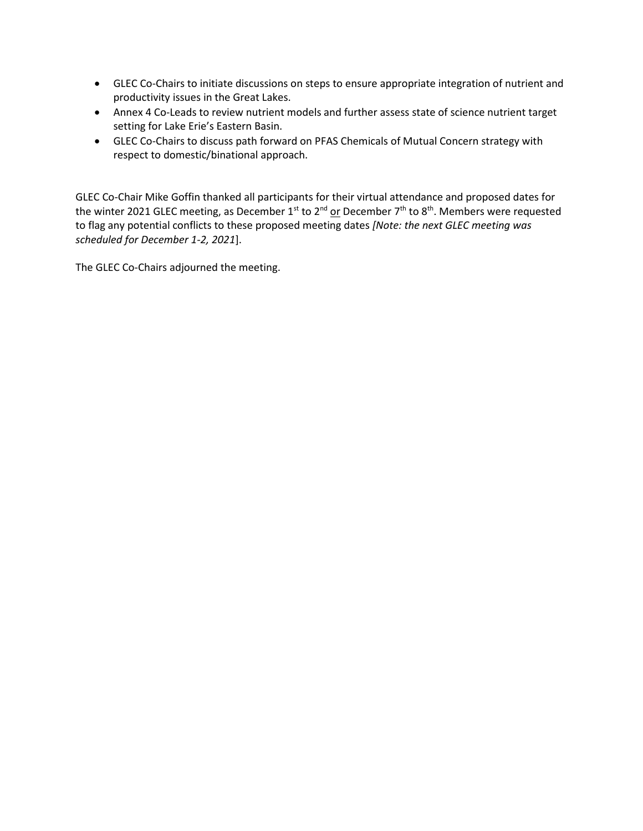- GLEC Co-Chairs to initiate discussions on steps to ensure appropriate integration of nutrient and productivity issues in the Great Lakes.
- Annex 4 Co-Leads to review nutrient models and further assess state of science nutrient target setting for Lake Erie's Eastern Basin.
- GLEC Co-Chairs to discuss path forward on PFAS Chemicals of Mutual Concern strategy with respect to domestic/binational approach.

GLEC Co-Chair Mike Goffin thanked all participants for their virtual attendance and proposed dates for the winter 2021 GLEC meeting, as December 1<sup>st</sup> to 2<sup>nd</sup> or December 7<sup>th</sup> to 8<sup>th</sup>. Members were requested to flag any potential conflicts to these proposed meeting dates *[Note: the next GLEC meeting was scheduled for December 1-2, 2021*].

The GLEC Co-Chairs adjourned the meeting.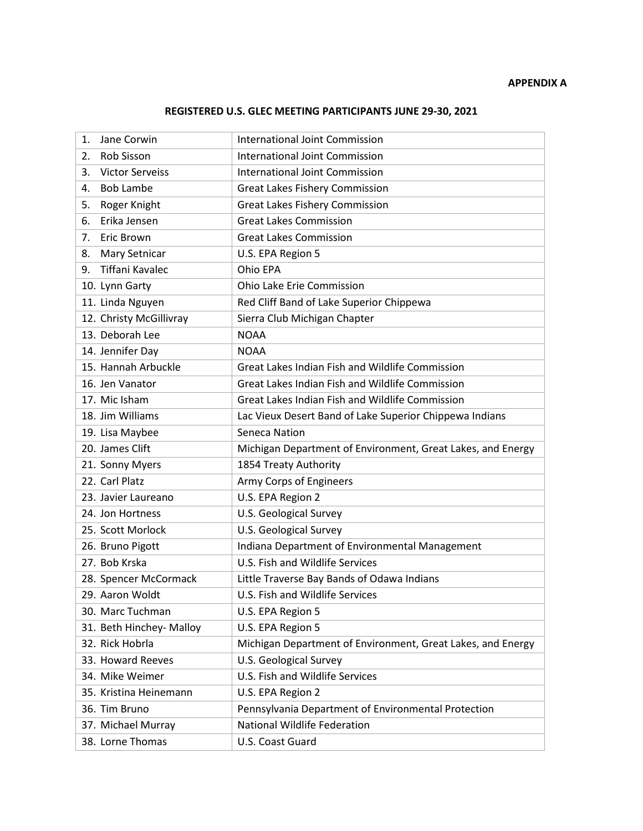# **REGISTERED U.S. GLEC MEETING PARTICIPANTS JUNE 29-30, 2021**

| Jane Corwin<br>1.            | <b>International Joint Commission</b>                       |
|------------------------------|-------------------------------------------------------------|
| Rob Sisson<br>2.             | International Joint Commission                              |
| <b>Victor Serveiss</b><br>3. | International Joint Commission                              |
| <b>Bob Lambe</b><br>4.       | Great Lakes Fishery Commission                              |
| Roger Knight<br>5.           | <b>Great Lakes Fishery Commission</b>                       |
| Erika Jensen<br>6.           | <b>Great Lakes Commission</b>                               |
| <b>Eric Brown</b><br>7.      | <b>Great Lakes Commission</b>                               |
| <b>Mary Setnicar</b><br>8.   | U.S. EPA Region 5                                           |
| Tiffani Kavalec<br>9.        | Ohio EPA                                                    |
| 10. Lynn Garty               | Ohio Lake Erie Commission                                   |
| 11. Linda Nguyen             | Red Cliff Band of Lake Superior Chippewa                    |
| 12. Christy McGillivray      | Sierra Club Michigan Chapter                                |
| 13. Deborah Lee              | <b>NOAA</b>                                                 |
| 14. Jennifer Day             | <b>NOAA</b>                                                 |
| 15. Hannah Arbuckle          | Great Lakes Indian Fish and Wildlife Commission             |
| 16. Jen Vanator              | Great Lakes Indian Fish and Wildlife Commission             |
| 17. Mic Isham                | Great Lakes Indian Fish and Wildlife Commission             |
| 18. Jim Williams             | Lac Vieux Desert Band of Lake Superior Chippewa Indians     |
| 19. Lisa Maybee              | Seneca Nation                                               |
| 20. James Clift              | Michigan Department of Environment, Great Lakes, and Energy |
| 21. Sonny Myers              | 1854 Treaty Authority                                       |
| 22. Carl Platz               | Army Corps of Engineers                                     |
| 23. Javier Laureano          | U.S. EPA Region 2                                           |
| 24. Jon Hortness             | U.S. Geological Survey                                      |
| 25. Scott Morlock            | U.S. Geological Survey                                      |
| 26. Bruno Pigott             | Indiana Department of Environmental Management              |
| 27. Bob Krska                | U.S. Fish and Wildlife Services                             |
| 28. Spencer McCormack        | Little Traverse Bay Bands of Odawa Indians                  |
| 29. Aaron Woldt              | U.S. Fish and Wildlife Services                             |
| 30. Marc Tuchman             | U.S. EPA Region 5                                           |
| 31. Beth Hinchey- Malloy     | U.S. EPA Region 5                                           |
| 32. Rick Hobrla              | Michigan Department of Environment, Great Lakes, and Energy |
| 33. Howard Reeves            | U.S. Geological Survey                                      |
| 34. Mike Weimer              | U.S. Fish and Wildlife Services                             |
| 35. Kristina Heinemann       | U.S. EPA Region 2                                           |
| 36. Tim Bruno                | Pennsylvania Department of Environmental Protection         |
| 37. Michael Murray           | <b>National Wildlife Federation</b>                         |
| 38. Lorne Thomas             | U.S. Coast Guard                                            |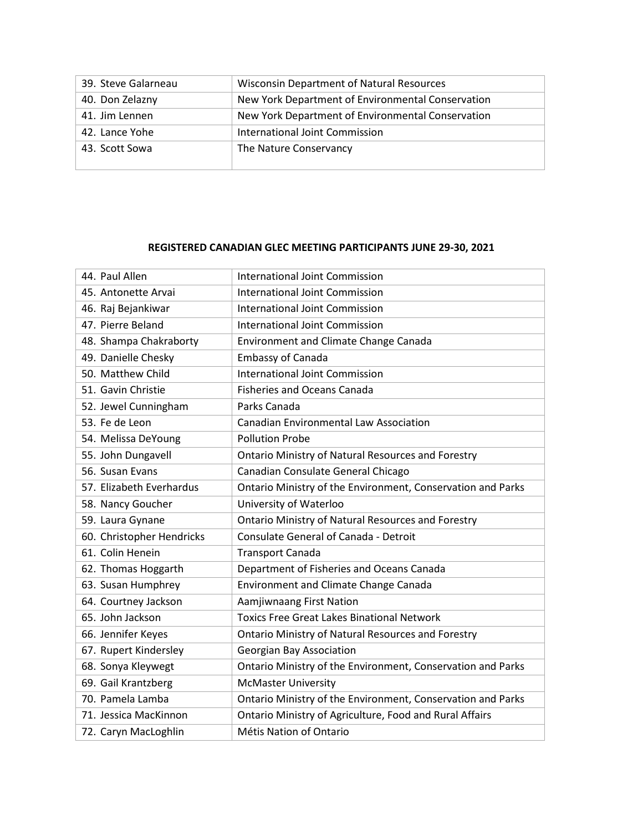| 39. Steve Galarneau | <b>Wisconsin Department of Natural Resources</b>  |
|---------------------|---------------------------------------------------|
| 40. Don Zelazny     | New York Department of Environmental Conservation |
| 41. Jim Lennen      | New York Department of Environmental Conservation |
| 42. Lance Yohe      | International Joint Commission                    |
| 43. Scott Sowa      | The Nature Conservancy                            |
|                     |                                                   |

#### **REGISTERED CANADIAN GLEC MEETING PARTICIPANTS JUNE 29-30, 2021**

| 44. Paul Allen            | <b>International Joint Commission</b>                       |
|---------------------------|-------------------------------------------------------------|
| 45. Antonette Arvai       | International Joint Commission                              |
| 46. Raj Bejankiwar        | International Joint Commission                              |
| 47. Pierre Beland         | <b>International Joint Commission</b>                       |
| 48. Shampa Chakraborty    | <b>Environment and Climate Change Canada</b>                |
| 49. Danielle Chesky       | Embassy of Canada                                           |
| 50. Matthew Child         | <b>International Joint Commission</b>                       |
| 51. Gavin Christie        | <b>Fisheries and Oceans Canada</b>                          |
| 52. Jewel Cunningham      | Parks Canada                                                |
| 53. Fe de Leon            | <b>Canadian Environmental Law Association</b>               |
| 54. Melissa DeYoung       | <b>Pollution Probe</b>                                      |
| 55. John Dungavell        | <b>Ontario Ministry of Natural Resources and Forestry</b>   |
| 56. Susan Evans           | Canadian Consulate General Chicago                          |
| 57. Elizabeth Everhardus  | Ontario Ministry of the Environment, Conservation and Parks |
| 58. Nancy Goucher         | University of Waterloo                                      |
| 59. Laura Gynane          | <b>Ontario Ministry of Natural Resources and Forestry</b>   |
| 60. Christopher Hendricks | Consulate General of Canada - Detroit                       |
| 61. Colin Henein          | <b>Transport Canada</b>                                     |
| 62. Thomas Hoggarth       | Department of Fisheries and Oceans Canada                   |
| 63. Susan Humphrey        | <b>Environment and Climate Change Canada</b>                |
| 64. Courtney Jackson      | Aamjiwnaang First Nation                                    |
| 65. John Jackson          | <b>Toxics Free Great Lakes Binational Network</b>           |
| 66. Jennifer Keyes        | <b>Ontario Ministry of Natural Resources and Forestry</b>   |
| 67. Rupert Kindersley     | <b>Georgian Bay Association</b>                             |
| 68. Sonya Kleywegt        | Ontario Ministry of the Environment, Conservation and Parks |
| 69. Gail Krantzberg       | <b>McMaster University</b>                                  |
| 70. Pamela Lamba          | Ontario Ministry of the Environment, Conservation and Parks |
| 71. Jessica MacKinnon     | Ontario Ministry of Agriculture, Food and Rural Affairs     |
| 72. Caryn MacLoghlin      | Métis Nation of Ontario                                     |